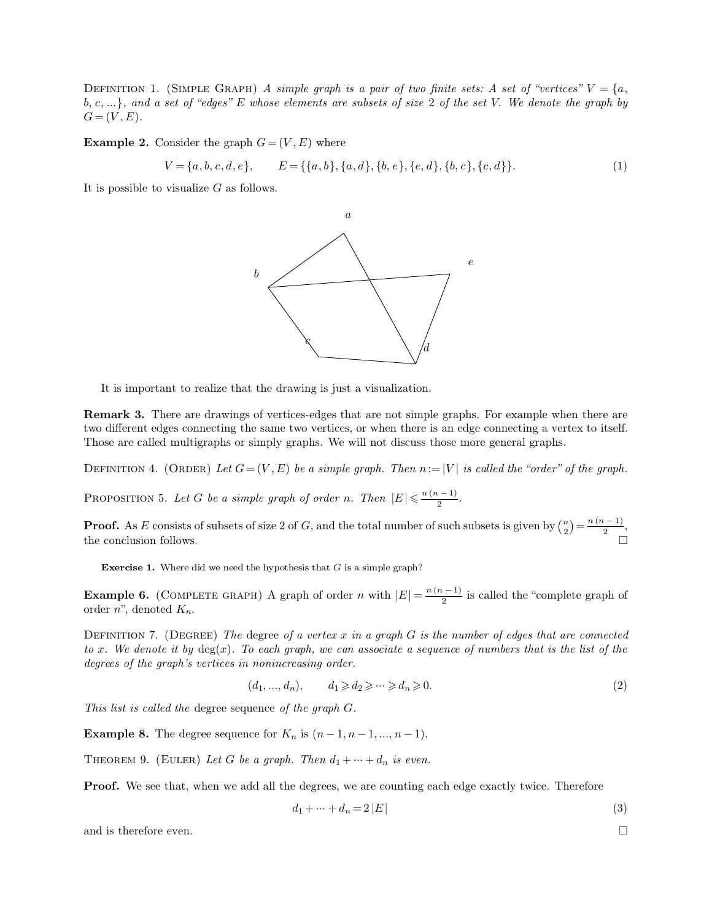DEFINITION 1. (SIMPLE GRAPH) *A simple graph is a pair of two finite sets: A set of "vertices"*  $V = \{a, b, c, ...\}$ *, and a set of "edges" E whose elements are subsets of size 2 of the set V. We denote the graph by* **DEFINITION 1.** (SIMPLE GRAPH) A simple graph is a pair of two finite sets: A set of "vertices"  $V = \{a, b, c, ...\}$ , and a set of "edges" E whose elements are subsets of size 2 of the set *V*. We denote the graph by  $G = (V, E)$ . **G** DEFINITION 1. (SIMPLE GRAPH) A simple graph is a pair  $b, c, ...$ , and a set of "edges" E whose elements are subset  $G = (V, E)$ .<br>**Example 2.** Consider the graph  $G = (V, E)$  where  $V = \{a, b, c, d, e\}, \qquad E = \{\{a, b\}, \{a, d\}, \{a, d\}\}$ set of "edges" E whose elements are subsets of size 2 of the set V. We denote the graph by<br>
onsider the graph  $G = (V, E)$  where<br>  $V = \{a, b, c, d, e\}, \qquad E = \{\{a, b\}, \{a, d\}, \{b, e\}, \{e, d\}, \{b, c\}, \{c, d\}\}.$ (1)<br>
visualize G as follows  $G = (V, E).$ <br> **Example 2.** Consider the graph  $G = (V, E)$  where<br>  $V = \{a, b, c, d, e\}, \qquad E = \{\{a, b\}, \{$ <br>
It is possible to visualize *G* as follows.

$$
V = \{a, b, c, d, e\}, \qquad E = \{\{a, b\}, \{a, d\}, \{b, e\}, \{e, d\}, \{b, c\}, \{c, d\}\}.
$$
 (1)



It is important to realize that the drawing is just a visualization.

**Remark 3.** There are drawings of vertices-edges that are not simple graphs. For example when there are two different edges connecting the same two vertices, or when there is an edge connecting a vertex to itself. It is important to realize that the drawing is just a visualization.<br> **Remark 3.** There are drawings of vertices-edges that are not simple graphs. For example when there are<br>
two different edges connecting the same two ver two different edges connecting the same two vertices, or when there is an edge connecting a vertex to itself.<br>Those are called multigraphs or simply graphs. We will not discuss those more general graphs. two different edges connecting the same two vertices, or when there is an edge<br>Those are called multigraphs or simply graphs. We will not discuss those more<br>DEFINITION 4. (ORDER) Let  $G = (V, E)$  be a simple graph. Then  $n := |$ 

DEFINITION 4. (ORDER) Let  $G = (V, E)$  be a simple graph. Then  $n := |V|$  is called the "order" of the graph.

 $\frac{n(n-1)}{2}$ . 2

DEFINITION 4. (ORDER) Let  $G = (V, E)$  be a simple graph. Then  $n := |V|$  is called the "order" of the graph of  $P$ ROPOSITION 5. Let  $G$  be a simple graph of order  $n$ . Then  $|E| \le \frac{n(n-1)}{2}$ .<br>**Proof.** As  $E$  consists of subset  $\binom{n}{2} = \frac{n(n-1)}{2},$ DEFINITION 4. (ORDER) Let  $G = (V, E)$  be a simple graph. Then  $n := |V|$  is called the order of the graph.<br>
PROPOSITION 5. Let G be a simple graph of order n. Then  $|E| \le \frac{n(n-1)}{2}$ .<br> **Proof.** As E consists of subsets of size **Exercise 1.** Where did we need the hypothesis that *G* is a simple graph?<br>**Exercise 1.** Where did we need the hypothesis that *G* is a simple graph?

**Example 6.** (COMPLETE GRAPH) A graph of order *n* with  $|E| = \frac{n(n-1)}{2}$  is called the "complete graph of order *n*", denoted  $K_n$ .  $\frac{n(n-1)}{2}$  is called

**Example 6.** (COMPLETE GRAPH) A graph of order *n* with  $|E| = \frac{n(n-1)}{2}$  is called the "complete graph of order *n*", denoted  $K_n$ .<br>DEFINITION 7. (DEGREE) *The* degree of a vertex *x* in a graph *G* is the number of edges **Example 6.** (COMPLETE GRAPH) A graph of order *n* with  $|E| = \frac{n(n-1)}{2}$  is called the "complete graph of order *n*", denoted  $K_n$ .<br> *DEFINITION 7.* (*DEGREE) The degree of a vertex x in a graph G is the number of edges t* **Example 6.** (COMPLETE GRAPH) A graph of order *n* with<br>order *n*", denoted  $K_n$ .<br>DEFINITION 7. (DEGREE) The degree of a vertex x in a g<br>to x. We denote it by deg(x). To each graph, we can assoc<br>degrees of the graph's ver DEFINITION 7. (DEGREE) The degree of a vertex x in a graph G is the number of edges that are connected<br>to x. We denote it by deg(x). To each graph, we can associate a sequence of numbers that is the list of the<br>degrees of DEFINITION 1. (DEGREE) The degree of a vertex x in a graph G is the hamo<br>to x. We denote it by deg(x). To each graph, we can associate a sequence of<br>degrees of the graph's vertices in nonincreasing order.<br> $(d_1,...,d_n), \t d_1 \ge$ 

$$
(d_1, \ldots, d_n), \qquad d_1 \geqslant d_2 \geqslant \cdots \geqslant d_n \geqslant 0. \tag{2}
$$

**Example 8.** The degree sequence for  $K_n$  is  $(n-1, n-1, ..., n-1)$ .<br>
THEOREM 9. (EULER) Let G be a graph. Then  $d_1 + \cdots + d_n$  is even.<br> **Proof.** We see that, when we add all the degrees, we are counting each edge exactly twice. T THEOREM 9. (EULER) Let G be a graph. Then  $d_1 + \dots + d_n$  is even.<br> **Proof.** We see that, when we add all the degrees, we are counting each edge exactly twice. Therefore  $d_1 + \dots + d_n = 2 |E|$  (3)<br>
and is therefore even.

Then 
$$
d_1 + \cdots + d_n
$$
 is even.

\ne degrees, we are counting each edge exactly twice. Therefore

\n
$$
d_1 + \cdots + d_n = 2 |E|
$$
\n(3)

\n□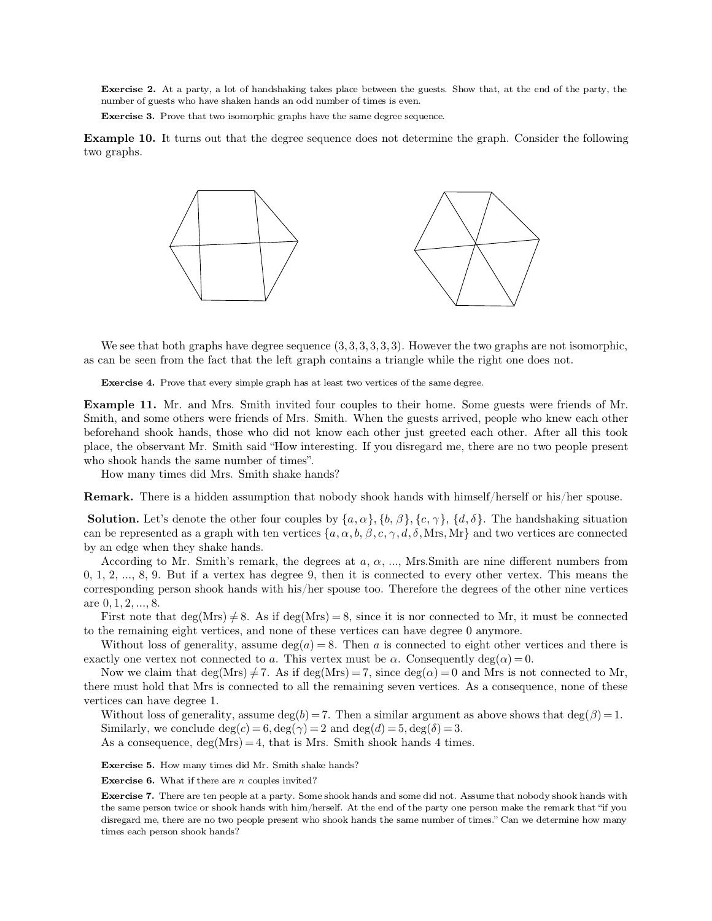**Exercise 2.** At a party, a lot of handshaking takes place between the guests. Show that, at the end of the party, the **Exercise 2.** At a party, a lot of handshaking takes place between the guests number of guests who have shaken hands an odd number of times is even.<br>**Exercise 3.** Prove that two isomorphic graphs have the same degree seque **Exercise 2.** At a party, a lot of handshaking takes place between the guests. Show number of guests who have shaken hands an odd number of times is even.<br>**Exercise 3.** Prove that two isomorphic graphs have the same degree

**Exercise 2.** At a party, a lot of handshaking takes place between the guests. Show that, at the end of the party, the number of guests who have shaken hands an odd number of times is even.<br>**Exercise 3.** Prove that two iso Exercise 2. A<br>number of gues<br>Exercise 3. P<br>Example 10. I<br>two graphs.



We see that both graphs have degree sequence  $(3,3,3,3,3,3)$ . However the two graphs are not isomore as can be seen from the fact that the left graph contains a triangle while the right one does not. We see that both graphs have degree sequence  $(3,3,3,3,3,3)$ . However the two gram be seen from the fact that the left graph contains a triangle while the right **Exercise 4.** Prove that every simple graph has at least two

We see that both graphs have degree sequence  $(3,3,3,3,3,3)$ . However the two graphs are not isomorphic,<br>as can be seen from the fact that the left graph contains a triangle while the right one does not.<br>**Exercise 4.** Prov Smith, and some others were friends of Mrs. Smith. When the guests arrived, people who knew each other beforehand shook hands, those who did not know each other just greeted each other. After all this took beforehand shook **Exercise 4.** Prove that every simple graph has at least two vertices of the same degree.<br> **Example 11.** Mr. and Mrs. Smith invited four couples to their home. Some guests were friends of Mr.<br>
Smith, and some others were f **Example 11.** Mr. and Mrs. Smith invited four couples to their home. Some guests were friends of Mr. Smith, and some others were friends of Mrs. Smith. When the guests arrived, people who knew each other beforehand shook h **Example 11.** Mr. and Mrs. Smith invited four Smith, and some others were friends of Mrs. Smith beforehand shook hands, those who did not know place, the observant Mr. Smith said "How interest who shook hands the same numb **ample 11.** Mr. and Mrs. Smith invited four couples<br>ith, and some others were friends of Mrs. Smith. When<br>prehand shook hands, those who did not know each o<br>ce, the observant Mr. Smith said "How interesting. If y<br>b shook h beforehand shook hands, those who did not know each other just greeted each other. After all this took<br>place, the observant Mr. Smith said "How interesting. If you disregard me, there are no two people present<br>who shook h

Fig. The solution of the same number of times".<br>
How many times did Mrs. Smith shake hands?<br> **Semark.** There is a hidden assumption that nobody shook hands with himself/herself or his/her spouse.<br> **Solution.** Let's denote From be shook hands the same number of thiss.<br>
How many times did Mrs. Smith shake hands?<br> **Remark.** There is a hidden assumption that nobody shook hands with himself/herself or his/her spouse.<br> **Solution.** Let's denote t How many times did Mrs. Simith shake<br> **Remark.** There is a hidden assumption<br> **Solution.** Let's denote the other four of<br>
can be represented as a graph with ten v<br>
by an edge when they shake hands.<br>
According to Mr. Smith' mark. There is a hidden assumption that nobody shook hands with himself/herself or his/her spouse.<br> **lution**. Let's denote the other four couples by  $\{a, \alpha\}$ ,  $\{b, \beta\}$ ,  $\{c, \gamma\}$ ,  $\{d, \delta\}$ . The handshaking situatio

**Solution.** Let's denote the other four couples by  $\{a, \alpha\}$ ,  $\{b, \beta\}$ ,  $\{c, \gamma\}$ ,  $\{d, \delta\}$ . The handshaking situation<br>can be represented as a graph with ten vertices  $\{a, \alpha, b, \beta, c, \gamma, d, \delta$ , Mrs, Mr} and two vertic can be represented as a graph with ten vertices  $\{a, \alpha, b, \beta, c, \gamma, d, \delta, \text{Mrs}, \text{Mr} \}$  and two vertices are connected<br>by an edge when they shake hands.<br>According to Mr. Smith's remark, the degrees at  $a, \alpha, ..., \text{Mrs}$ . Smith by an edge when they shake hands.<br>
According to Mr. Smith's remark, the degrees at a,  $\alpha$ , ..., Mrs.Smith are nine different numbers from<br>
0, 1, 2, ..., 8, 9. But if a vertex has degree 9, then it is connected to every o According to Mr. Smith's remark, the degrees at  $a, \alpha, ...,$  Mrs.Smith are nine differen 0, 1, 2, ..., 8, 9. But if a vertex has degree 9, then it is connected to every other vertex. corresponding person shook hands with his/ , 2, ..., 8, 9. But if a vertex has degree 9, then it is connected to every other vertex. This means the responding person shook hands with his/her spouse too. Therefore the degrees of the other nine vertices 0,1,2,..., 8

corresponding person shook hands with his/her spouse too. Therefore the degrees of the other nine vertices<br>are  $0, 1, 2, ..., 8$ .<br>First note that deg(Mrs)  $\neq 8$ . As if deg(Mrs) = 8, since it is nor connected to Mr, it must to the remanning eight vertices, and none of these vertices can have degree 0 anymore.<br>
Without loss of generality, assume  $\deg(a) = 8$ . Then *a* is connected to eight other vertices and there is<br>
exactly one vertex not conn

Without loss of generality, assume deg( $b$ ) = 7. Then a similar argument as above shows that deg( $\beta$ ) = 1.<br>
Similarly, we conclude deg( $c$ ) = 6, deg( $\gamma$ ) = 2 and deg( $d$ ) = 5, deg( $\delta$ ) = 3.<br>
As a consequence, deg(Mrs)

**Exercise 5.** How many times did Mr. Smith shake hands?<br> **Exercise 6.** What if there are *n* couples invited?<br> **Exercise 7.** There are ten people at a party. Some shook hands and some did not. Assume that nobody shook hand **Exercise 5.** How many times did Mr. Smith shake hands?<br> **Exercise 5.** How many times did Mr. Smith shake hands?<br> **Exercise 6.** What if there are *n* couples invited?<br> **Exercise 7.** There are ten people at a party. Some sh **Exercise 5.** How many times did Mr. Smith shake hands?<br>**Exercise 6.** What if there are *n* couples invited?<br>**Exercise 7.** There are ten people at a party. Some shook hands and some did not. Assume that nobody shook hands **Exercise 6.** How many times did Mr. Smith shake hands?<br> **Exercise 6.** What if there are n couples invited?<br> **Exercise 7.** There are ten people at a party. Some shook hands and some did not. Assume that nobody shook hands **Exercise 6.** What if there are  $n$  c<br>**Exercise 7.** There are ten people  $\varepsilon$ <br>the same person twice or shook hands<br>disregard me, there are no two peoptimes each person shook hands?